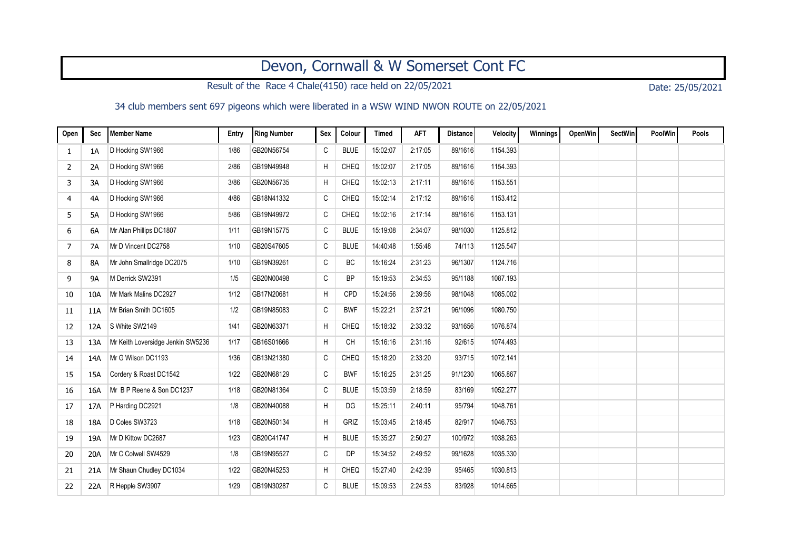## Devon, Cornwall & W Somerset Cont FC

Result of the Race 4 Chale(4150) race held on 22/05/2021 Date: 25/05/2021

## 34 club members sent 697 pigeons which were liberated in a WSW WIND NWON ROUTE on 22/05/2021

| Open           | Sec       | <b>Member Name</b>                | Entry | <b>Ring Number</b> | Sex | Colour      | <b>Timed</b> | <b>AFT</b> | Distance | Velocity | Winnings | <b>OpenWin</b> | <b>SectWin</b> | PoolWin | Pools |
|----------------|-----------|-----------------------------------|-------|--------------------|-----|-------------|--------------|------------|----------|----------|----------|----------------|----------------|---------|-------|
| -1             | 1A        | D Hocking SW1966                  | 1/86  | GB20N56754         | C   | <b>BLUE</b> | 15:02:07     | 2:17:05    | 89/1616  | 1154.393 |          |                |                |         |       |
| $\overline{2}$ | 2A        | D Hocking SW1966                  | 2/86  | GB19N49948         | H   | CHEQ        | 15:02:07     | 2:17:05    | 89/1616  | 1154.393 |          |                |                |         |       |
| 3              | 3A        | D Hocking SW1966                  | 3/86  | GB20N56735         | H   | CHEQ        | 15:02:13     | 2:17:11    | 89/1616  | 1153.551 |          |                |                |         |       |
| 4              | 4A        | D Hocking SW1966                  | 4/86  | GB18N41332         | C   | CHEQ        | 15:02:14     | 2:17:12    | 89/1616  | 1153.412 |          |                |                |         |       |
| 5              | 5A        | D Hocking SW1966                  | 5/86  | GB19N49972         | C   | CHEQ        | 15:02:16     | 2:17:14    | 89/1616  | 1153.131 |          |                |                |         |       |
| 6              | 6A        | Mr Alan Phillips DC1807           | 1/11  | GB19N15775         | C   | <b>BLUE</b> | 15:19:08     | 2:34:07    | 98/1030  | 1125.812 |          |                |                |         |       |
| $\overline{7}$ | 7A        | Mr D Vincent DC2758               | 1/10  | GB20S47605         | C   | <b>BLUE</b> | 14:40:48     | 1:55:48    | 74/113   | 1125.547 |          |                |                |         |       |
| 8              | <b>8A</b> | Mr John Smallridge DC2075         | 1/10  | GB19N39261         | C   | <b>BC</b>   | 15:16:24     | 2:31:23    | 96/1307  | 1124.716 |          |                |                |         |       |
| 9              | <b>9A</b> | M Derrick SW2391                  | 1/5   | GB20N00498         | C   | <b>BP</b>   | 15:19:53     | 2:34:53    | 95/1188  | 1087.193 |          |                |                |         |       |
| 10             | 10A       | Mr Mark Malins DC2927             | 1/12  | GB17N20681         | H   | CPD         | 15:24:56     | 2:39:56    | 98/1048  | 1085.002 |          |                |                |         |       |
| 11             | 11A       | Mr Brian Smith DC1605             | 1/2   | GB19N85083         | C   | <b>BWF</b>  | 15:22:21     | 2:37:21    | 96/1096  | 1080.750 |          |                |                |         |       |
| 12             | 12A       | S White SW2149                    | 1/41  | GB20N63371         | H   | CHEQ        | 15:18:32     | 2:33:32    | 93/1656  | 1076.874 |          |                |                |         |       |
| 13             | 13A       | Mr Keith Loversidge Jenkin SW5236 | 1/17  | GB16S01666         | H   | <b>CH</b>   | 15:16:16     | 2:31:16    | 92/615   | 1074.493 |          |                |                |         |       |
| 14             | 14A       | Mr G Wilson DC1193                | 1/36  | GB13N21380         | C   | CHEQ        | 15:18:20     | 2:33:20    | 93/715   | 1072.141 |          |                |                |         |       |
| 15             | 15A       | Cordery & Roast DC1542            | 1/22  | GB20N68129         | C   | <b>BWF</b>  | 15:16:25     | 2:31:25    | 91/1230  | 1065.867 |          |                |                |         |       |
| 16             | 16A       | Mr B P Reene & Son DC1237         | 1/18  | GB20N81364         | C   | <b>BLUE</b> | 15:03:59     | 2:18:59    | 83/169   | 1052.277 |          |                |                |         |       |
| 17             | 17A       | P Harding DC2921                  | 1/8   | GB20N40088         | H   | DG          | 15:25:11     | 2:40:11    | 95/794   | 1048.761 |          |                |                |         |       |
| 18             | 18A       | D Coles SW3723                    | 1/18  | GB20N50134         | H   | GRIZ        | 15:03:45     | 2:18:45    | 82/917   | 1046.753 |          |                |                |         |       |
| 19             | 19A       | Mr D Kittow DC2687                | 1/23  | GB20C41747         | H   | <b>BLUE</b> | 15:35:27     | 2:50:27    | 100/972  | 1038.263 |          |                |                |         |       |
| 20             | 20A       | Mr C Colwell SW4529               | 1/8   | GB19N95527         | C   | <b>DP</b>   | 15:34:52     | 2:49:52    | 99/1628  | 1035.330 |          |                |                |         |       |
| 21             | 21A       | Mr Shaun Chudley DC1034           | 1/22  | GB20N45253         | H   | CHEQ        | 15:27:40     | 2:42:39    | 95/465   | 1030.813 |          |                |                |         |       |
| 22             | 22A       | R Hepple SW3907                   | 1/29  | GB19N30287         | C   | <b>BLUE</b> | 15:09:53     | 2:24:53    | 83/928   | 1014.665 |          |                |                |         |       |